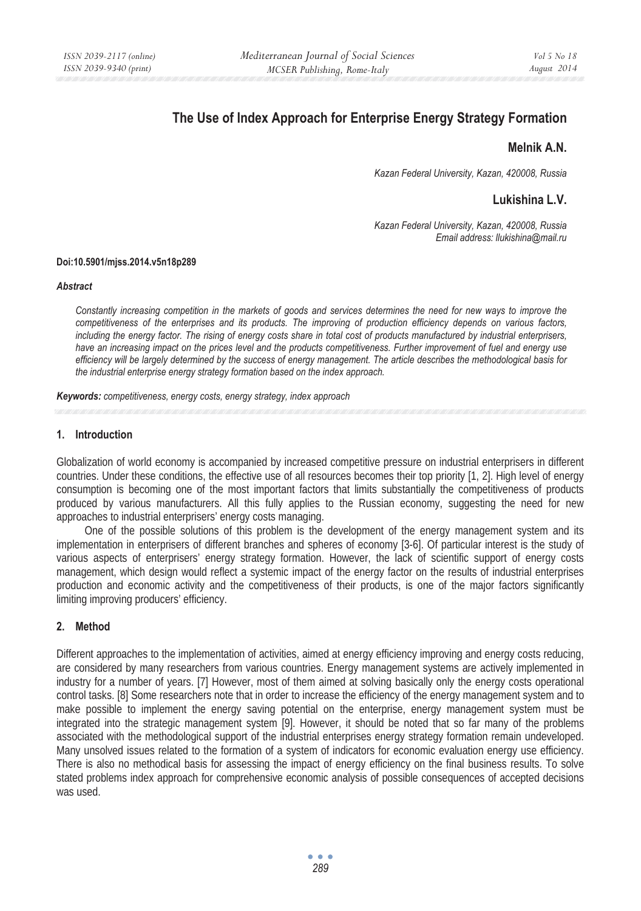# **The Use of Index Approach for Enterprise Energy Strategy Formation**

## **Melnik A.N.**

*Kazan Federal University, Kazan, 420008, Russia* 

# **Lukishina L.V.**

*Kazan Federal University, Kazan, 420008, Russia Email address: llukishina@mail.ru* 

#### **Doi:10.5901/mjss.2014.v5n18p289**

#### *Abstract*

*Constantly increasing competition in the markets of goods and services determines the need for new ways to improve the competitiveness of the enterprises and its products. The improving of production efficiency depends on various factors, including the energy factor. The rising of energy costs share in total cost of products manufactured by industrial enterprisers, have an increasing impact on the prices level and the products competitiveness. Further improvement of fuel and energy use efficiency will be largely determined by the success of energy management. The article describes the methodological basis for the industrial enterprise energy strategy formation based on the index approach.* 

*Keywords: competitiveness, energy costs, energy strategy, index approach*

#### **1. Introduction**

Globalization of world economy is accompanied by increased competitive pressure on industrial enterprisers in different countries. Under these conditions, the effective use of all resources becomes their top priority [1, 2]. High level of energy consumption is becoming one of the most important factors that limits substantially the competitiveness of products produced by various manufacturers. All this fully applies to the Russian economy, suggesting the need for new approaches to industrial enterprisers' energy costs managing.

One of the possible solutions of this problem is the development of the energy management system and its implementation in enterprisers of different branches and spheres of economy [3-6]. Of particular interest is the study of various aspects of enterprisers' energy strategy formation. However, the lack of scientific support of energy costs management, which design would reflect a systemic impact of the energy factor on the results of industrial enterprises production and economic activity and the competitiveness of their products, is one of the major factors significantly limiting improving producers' efficiency.

### **2. Method**

Different approaches to the implementation of activities, aimed at energy efficiency improving and energy costs reducing, are considered by many researchers from various countries. Energy management systems are actively implemented in industry for a number of years. [7] However, most of them aimed at solving basically only the energy costs operational control tasks. [8] Some researchers note that in order to increase the efficiency of the energy management system and to make possible to implement the energy saving potential on the enterprise, energy management system must be integrated into the strategic management system [9]. However, it should be noted that so far many of the problems associated with the methodological support of the industrial enterprises energy strategy formation remain undeveloped. Many unsolved issues related to the formation of a system of indicators for economic evaluation energy use efficiency. There is also no methodical basis for assessing the impact of energy efficiency on the final business results. To solve stated problems index approach for comprehensive economic analysis of possible consequences of accepted decisions was used.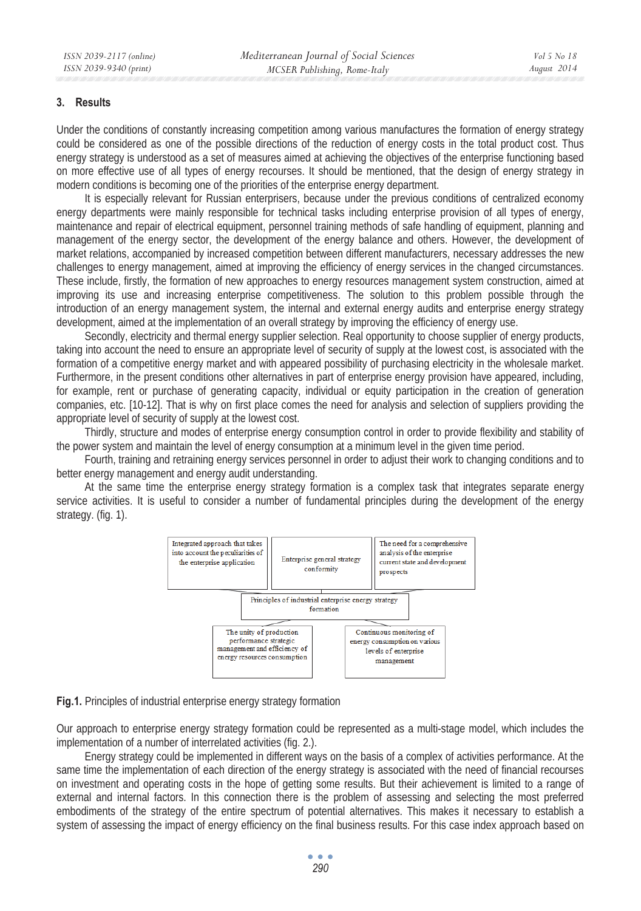### **3. Results**

Under the conditions of constantly increasing competition among various manufactures the formation of energy strategy could be considered as one of the possible directions of the reduction of energy costs in the total product cost. Thus energy strategy is understood as a set of measures aimed at achieving the objectives of the enterprise functioning based on more effective use of all types of energy recourses. It should be mentioned, that the design of energy strategy in modern conditions is becoming one of the priorities of the enterprise energy department.

It is especially relevant for Russian enterprisers, because under the previous conditions of centralized economy energy departments were mainly responsible for technical tasks including enterprise provision of all types of energy, maintenance and repair of electrical equipment, personnel training methods of safe handling of equipment, planning and management of the energy sector, the development of the energy balance and others. However, the development of market relations, accompanied by increased competition between different manufacturers, necessary addresses the new challenges to energy management, aimed at improving the efficiency of energy services in the changed circumstances. These include, firstly, the formation of new approaches to energy resources management system construction, aimed at improving its use and increasing enterprise competitiveness. The solution to this problem possible through the introduction of an energy management system, the internal and external energy audits and enterprise energy strategy development, aimed at the implementation of an overall strategy by improving the efficiency of energy use.

Secondly, electricity and thermal energy supplier selection. Real opportunity to choose supplier of energy products, taking into account the need to ensure an appropriate level of security of supply at the lowest cost, is associated with the formation of a competitive energy market and with appeared possibility of purchasing electricity in the wholesale market. Furthermore, in the present conditions other alternatives in part of enterprise energy provision have appeared, including, for example, rent or purchase of generating capacity, individual or equity participation in the creation of generation companies, etc. [10-12]. That is why on first place comes the need for analysis and selection of suppliers providing the appropriate level of security of supply at the lowest cost.

Thirdly, structure and modes of enterprise energy consumption control in order to provide flexibility and stability of the power system and maintain the level of energy consumption at a minimum level in the given time period.

Fourth, training and retraining energy services personnel in order to adjust their work to changing conditions and to better energy management and energy audit understanding.

At the same time the enterprise energy strategy formation is a complex task that integrates separate energy service activities. It is useful to consider a number of fundamental principles during the development of the energy strategy. (fig. 1).



**Fig.1.** Principles of industrial enterprise energy strategy formation

Our approach to enterprise energy strategy formation could be represented as a multi-stage model, which includes the implementation of a number of interrelated activities (fig. 2.).

Energy strategy could be implemented in different ways on the basis of a complex of activities performance. At the same time the implementation of each direction of the energy strategy is associated with the need of financial recourses on investment and operating costs in the hope of getting some results. But their achievement is limited to a range of external and internal factors. In this connection there is the problem of assessing and selecting the most preferred embodiments of the strategy of the entire spectrum of potential alternatives. This makes it necessary to establish a system of assessing the impact of energy efficiency on the final business results. For this case index approach based on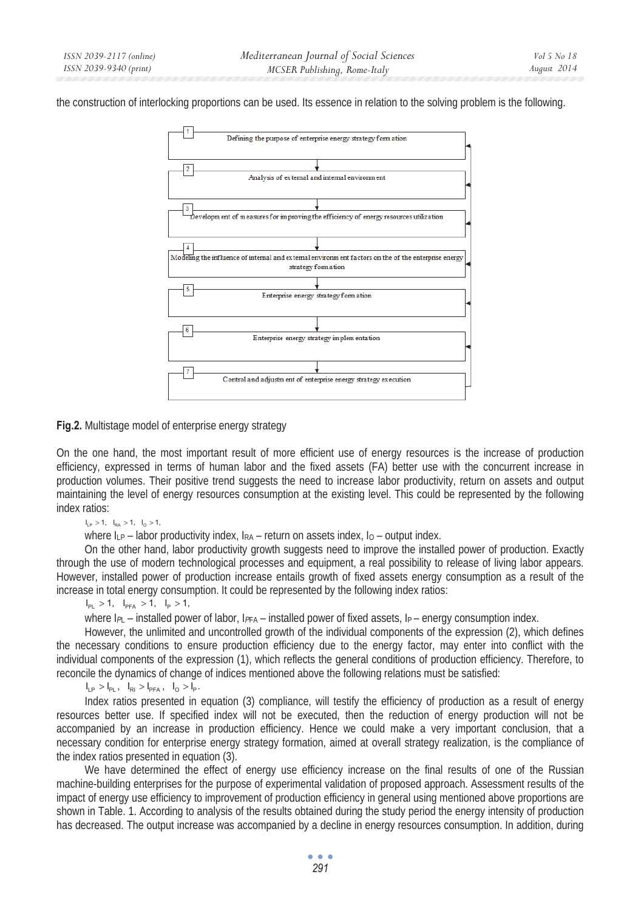the construction of interlocking proportions can be used. Its essence in relation to the solving problem is the following.



## **Fig.2.** Multistage model of enterprise energy strategy

On the one hand, the most important result of more efficient use of energy resources is the increase of production efficiency, expressed in terms of human labor and the fixed assets (FA) better use with the concurrent increase in production volumes. Their positive trend suggests the need to increase labor productivity, return on assets and output maintaining the level of energy resources consumption at the existing level. This could be represented by the following index ratios:

 $I_{\text{1p}} > 1$ ,  $I_{\text{RA}} > 1$ ,  $I_{\text{O}} > 1$ ,

where  $I_{LP}$  – labor productivity index,  $I_{RA}$  – return on assets index,  $I_0$  – output index.

On the other hand, labor productivity growth suggests need to improve the installed power of production. Exactly through the use of modern technological processes and equipment, a real possibility to release of living labor appears. However, installed power of production increase entails growth of fixed assets energy consumption as a result of the increase in total energy consumption. It could be represented by the following index ratios:

 $I_{\text{PI}} > 1$ ,  $I_{\text{PFA}} > 1$ ,  $I_{\text{p}} > 1$ ,

where  $I_{PL}$  – installed power of labor,  $I_{PFA}$  – installed power of fixed assets,  $I_P$  – energy consumption index.

However, the unlimited and uncontrolled growth of the individual components of the expression (2), which defines the necessary conditions to ensure production efficiency due to the energy factor, may enter into conflict with the individual components of the expression (1), which reflects the general conditions of production efficiency. Therefore, to reconcile the dynamics of change of indices mentioned above the following relations must be satisfied:

 $I_{LP} > I_{PL}$ ,  $I_{RI} > I_{PFA}$ ,  $I_{O} > I_{P}$ .

 Index ratios presented in equation (3) compliance, will testify the efficiency of production as a result of energy resources better use. If specified index will not be executed, then the reduction of energy production will not be accompanied by an increase in production efficiency. Hence we could make a very important conclusion, that a necessary condition for enterprise energy strategy formation, aimed at overall strategy realization, is the compliance of the index ratios presented in equation (3).

We have determined the effect of energy use efficiency increase on the final results of one of the Russian machine-building enterprises for the purpose of experimental validation of proposed approach. Assessment results of the impact of energy use efficiency to improvement of production efficiency in general using mentioned above proportions are shown in Table. 1. According to analysis of the results obtained during the study period the energy intensity of production has decreased. The output increase was accompanied by a decline in energy resources consumption. In addition, during